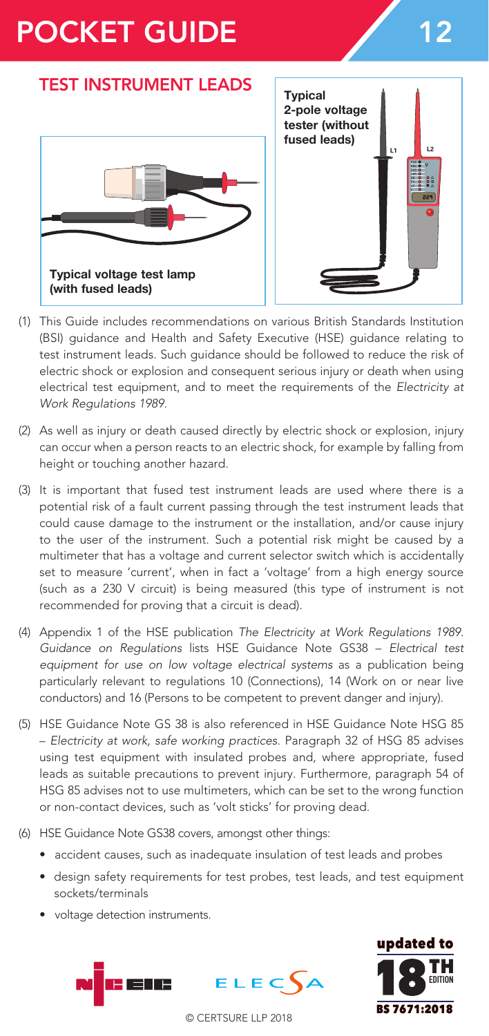# POCKET GUIDE 12

## TEST INSTRUMENT LEADS





- (1) This Guide includes recommendations on various British Standards Institution (BSI) guidance and Health and Safety Executive (HSE) guidance relating to test instrument leads. Such guidance should be followed to reduce the risk of electric shock or explosion and consequent serious injury or death when using electrical test equipment, and to meet the requirements of the *Electricity at Work Regulations 1989*.
- (2) As well as injury or death caused directly by electric shock or explosion, injury can occur when a person reacts to an electric shock, for example by falling from height or touching another hazard.
- (3) It is important that fused test instrument leads are used where there is a potential risk of a fault current passing through the test instrument leads that could cause damage to the instrument or the installation, and/or cause injury to the user of the instrument. Such a potential risk might be caused by a multimeter that has a voltage and current selector switch which is accidentally set to measure 'current', when in fact a 'voltage' from a high energy source (such as a 230 V circuit) is being measured (this type of instrument is not recommended for proving that a circuit is dead).
- (4) Appendix 1 of the HSE publication *The Electricity at Work Regulations 1989. Guidance on Regulations* lists HSE Guidance Note GS38 – *Electrical test equipment for use on low voltage electrical systems* as a publication being particularly relevant to regulations 10 (Connections), 14 (Work on or near live conductors) and 16 (Persons to be competent to prevent danger and injury).
- (5) HSE Guidance Note GS 38 is also referenced in HSE Guidance Note HSG 85 – *Electricity at work, safe working practices*. Paragraph 32 of HSG 85 advises using test equipment with insulated probes and, where appropriate, fused leads as suitable precautions to prevent injury. Furthermore, paragraph 54 of HSG 85 advises not to use multimeters, which can be set to the wrong function or non-contact devices, such as 'volt sticks' for proving dead.
- (6) HSE Guidance Note GS38 covers, amongst other things:
	- accident causes, such as inadequate insulation of test leads and probes
	- design safety requirements for test probes, test leads, and test equipment sockets/terminals
	- voltage detection instruments.





© CERTSURE LLP 2018